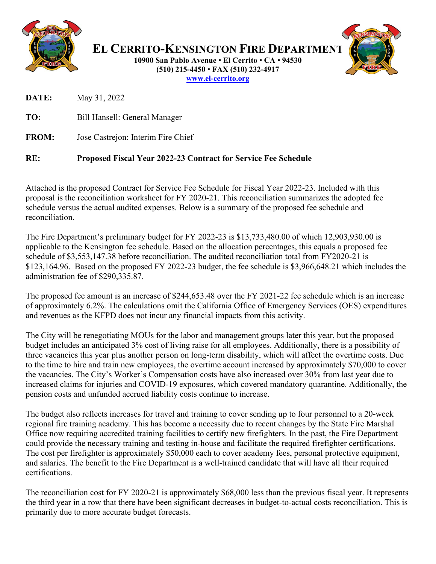

**EL CERRITO-KENSINGTON FIRE DEPARTMENT 10900 San Pablo Avenue El Cerrito CA 94530 (510) 215-4450 FAX (510) 232-4917 [www.el-cerrito.org](http://www.el-cerrito.org/)**

| RE:          | <b>Proposed Fiscal Year 2022-23 Contract for Service Fee Schedule</b> |
|--------------|-----------------------------------------------------------------------|
| <b>FROM:</b> | Jose Castrejon: Interim Fire Chief                                    |
| TO:          | Bill Hansell: General Manager                                         |
| DATE:        | May 31, 2022                                                          |

Attached is the proposed Contract for Service Fee Schedule for Fiscal Year 2022-23. Included with this proposal is the reconciliation worksheet for FY 2020-21. This reconciliation summarizes the adopted fee schedule versus the actual audited expenses. Below is a summary of the proposed fee schedule and reconciliation.

The Fire Department's preliminary budget for FY 2022-23 is \$13,733,480.00 of which 12,903,930.00 is applicable to the Kensington fee schedule. Based on the allocation percentages, this equals a proposed fee schedule of \$3,553,147.38 before reconciliation. The audited reconciliation total from FY2020-21 is \$123,164.96. Based on the proposed FY 2022-23 budget, the fee schedule is \$3,966,648.21 which includes the administration fee of \$290,335.87.

The proposed fee amount is an increase of \$244,653.48 over the FY 2021-22 fee schedule which is an increase of approximately 6.2%. The calculations omit the California Office of Emergency Services (OES) expenditures and revenues as the KFPD does not incur any financial impacts from this activity.

The City will be renegotiating MOUs for the labor and management groups later this year, but the proposed budget includes an anticipated 3% cost of living raise for all employees. Additionally, there is a possibility of three vacancies this year plus another person on long-term disability, which will affect the overtime costs. Due to the time to hire and train new employees, the overtime account increased by approximately \$70,000 to cover the vacancies. The City's Worker's Compensation costs have also increased over 30% from last year due to increased claims for injuries and COVID-19 exposures, which covered mandatory quarantine. Additionally, the pension costs and unfunded accrued liability costs continue to increase.

The budget also reflects increases for travel and training to cover sending up to four personnel to a 20-week regional fire training academy. This has become a necessity due to recent changes by the State Fire Marshal Office now requiring accredited training facilities to certify new firefighters. In the past, the Fire Department could provide the necessary training and testing in-house and facilitate the required firefighter certifications. The cost per firefighter is approximately \$50,000 each to cover academy fees, personal protective equipment, and salaries. The benefit to the Fire Department is a well-trained candidate that will have all their required certifications.

The reconciliation cost for FY 2020-21 is approximately \$68,000 less than the previous fiscal year. It represents the third year in a row that there have been significant decreases in budget-to-actual costs reconciliation. This is primarily due to more accurate budget forecasts.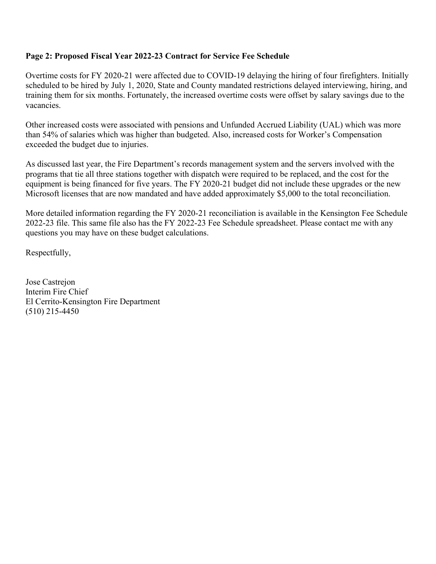#### **Page 2: Proposed Fiscal Year 2022-23 Contract for Service Fee Schedule**

Overtime costs for FY 2020-21 were affected due to COVID-19 delaying the hiring of four firefighters. Initially scheduled to be hired by July 1, 2020, State and County mandated restrictions delayed interviewing, hiring, and training them for six months. Fortunately, the increased overtime costs were offset by salary savings due to the vacancies.

Other increased costs were associated with pensions and Unfunded Accrued Liability (UAL) which was more than 54% of salaries which was higher than budgeted. Also, increased costs for Worker's Compensation exceeded the budget due to injuries.

As discussed last year, the Fire Department's records management system and the servers involved with the programs that tie all three stations together with dispatch were required to be replaced, and the cost for the equipment is being financed for five years. The FY 2020-21 budget did not include these upgrades or the new Microsoft licenses that are now mandated and have added approximately \$5,000 to the total reconciliation.

More detailed information regarding the FY 2020-21 reconciliation is available in the Kensington Fee Schedule 2022-23 file. This same file also has the FY 2022-23 Fee Schedule spreadsheet. Please contact me with any questions you may have on these budget calculations.

Respectfully,

Jose Castrejon Interim Fire Chief El Cerrito-Kensington Fire Department (510) 215-4450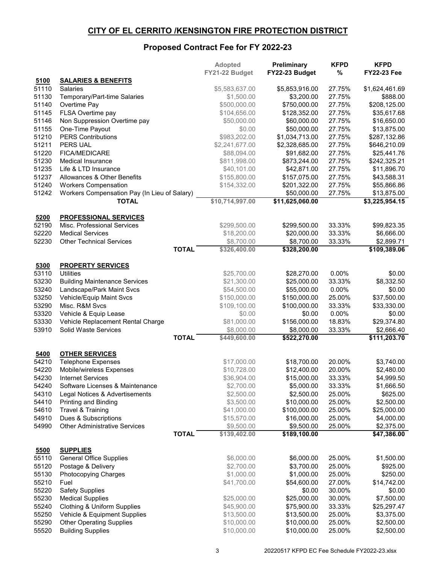### **CITY OF EL CERRITO /KENSINGTON FIRE PROTECTION DISTRICT**

# **Proposed Contract Fee for FY 2022-23**

|                |                                              |              | Adopted                    | Preliminary                  | <b>KFPD</b>      | <b>KFPD</b>                |
|----------------|----------------------------------------------|--------------|----------------------------|------------------------------|------------------|----------------------------|
|                |                                              |              | FY21-22 Budget             | FY22-23 Budget               | %                | <b>FY22-23 Fee</b>         |
| 5100           | <b>SALARIES &amp; BENEFITS</b>               |              |                            |                              |                  |                            |
| 51110<br>51130 | <b>Salaries</b>                              |              | \$5,583,637.00             | \$5,853,916.00<br>\$3,200.00 | 27.75%<br>27.75% | \$1,624,461.69<br>\$888.00 |
| 51140          | Temporary/Part-time Salaries<br>Overtime Pay |              | \$1,500.00<br>\$500,000.00 | \$750,000.00                 | 27.75%           | \$208,125.00               |
| 51145          | FLSA Overtime pay                            |              | \$104,656.00               | \$128,352.00                 | 27.75%           | \$35,617.68                |
| 51146          | Non Suppression Overtime pay                 |              | \$50,000.00                | \$60,000.00                  | 27.75%           | \$16,650.00                |
| 51155          | One-Time Payout                              |              | \$0.00                     | \$50,000.00                  | 27.75%           | \$13,875.00                |
| 51210          | <b>PERS Contributions</b>                    |              | \$983,202.00               | \$1,034,713.00               | 27.75%           | \$287,132.86               |
| 51211          | PERS UAL                                     |              | \$2,241,677.00             | \$2,328,685.00               | 27.75%           | \$646,210.09               |
| 51220          | <b>FICA/MEDICARE</b>                         |              | \$88,094.00                | \$91,682.00                  | 27.75%           | \$25,441.76                |
| 51230          | <b>Medical Insurance</b>                     |              | \$811,998.00               | \$873,244.00                 | 27.75%           | \$242,325.21               |
| 51235          | Life & LTD Insurance                         |              | \$40,101.00                | \$42,871.00                  | 27.75%           | \$11,896.70                |
| 51237          | Allowances & Other Benefits                  |              | \$155,800.00               | \$157,075.00                 | 27.75%           | \$43,588.31                |
| 51240          | <b>Workers Compensation</b>                  |              | \$154,332.00               | \$201,322.00                 | 27.75%           | \$55,866.86                |
| 51242          | Workers Compensation Pay (In Lieu of Salary) |              |                            | \$50,000.00                  | 27.75%           | \$13,875.00                |
|                | <b>TOTAL</b>                                 |              | \$10,714,997.00            | \$11,625,060.00              |                  | \$3,225,954.15             |
|                |                                              |              |                            |                              |                  |                            |
| 5200           | <b>PROFESSIONAL SERVICES</b>                 |              |                            |                              |                  |                            |
| 52190          | Misc. Professional Services                  |              | \$299,500.00               | \$299,500.00                 | 33.33%           | \$99,823.35                |
| 52220          | <b>Medical Services</b>                      |              | \$18,200.00                | \$20,000.00                  | 33.33%           | \$6,666.00                 |
| 52230          | <b>Other Technical Services</b>              |              | \$8,700.00                 | \$8,700.00                   | 33.33%           | \$2,899.71                 |
|                |                                              | <b>TOTAL</b> | \$326,400.00               | \$328,200.00                 |                  | \$109,389.06               |
|                |                                              |              |                            |                              |                  |                            |
| 5300           | <b>PROPERTY SERVICES</b>                     |              |                            |                              |                  |                            |
| 53110          | <b>Utilities</b>                             |              | \$25,700.00                | \$28,270.00                  | 0.00%            | \$0.00                     |
| 53230          | <b>Building Maintenance Services</b>         |              | \$21,300.00                | \$25,000.00                  | 33.33%           | \$8,332.50                 |
| 53240          | Landscape/Park Maint Svcs                    |              | \$54,500.00                | \$55,000.00                  | 0.00%            | \$0.00                     |
| 53250          | Vehicle/Equip Maint Svcs                     |              | \$150,000.00               | \$150,000.00                 | 25.00%           | \$37,500.00                |
| 53290          | Misc. R&M Svcs                               |              | \$109,100.00               | \$100,000.00                 | 33.33%           | \$33,330.00                |
| 53320          | Vehicle & Equip Lease                        |              | \$0.00                     | \$0.00                       | 0.00%            | \$0.00                     |
| 53330          | Vehicle Replacement Rental Charge            |              | \$81,000.00                | \$156,000.00                 | 18.83%           | \$29,374.80                |
| 53910          | Solid Waste Services                         | <b>TOTAL</b> | \$8,000.00<br>\$449,600.00 | \$8,000.00<br>\$522,270.00   | 33.33%           | \$2,666.40<br>\$111,203.70 |
|                |                                              |              |                            |                              |                  |                            |
| 5400           | <b>OTHER SERVICES</b>                        |              |                            |                              |                  |                            |
| 54210          | <b>Telephone Expenses</b>                    |              | \$17,000.00                | \$18,700.00                  | 20.00%           | \$3,740.00                 |
| 54220          | Mobile/wireless Expenses                     |              | \$10,728.00                | \$12,400.00                  | 20.00%           | \$2,480.00                 |
| 54230          | <b>Internet Services</b>                     |              | \$36,904.00                | \$15,000.00                  | 33.33%           | \$4,999.50                 |
| 54240          | Software Licenses & Maintenance              |              | \$2,700.00                 | \$5,000.00                   | 33.33%           | \$1,666.50                 |
| 54310          | Legal Notices & Advertisements               |              | \$2,500.00                 | \$2,500.00                   | 25.00%           | \$625.00                   |
| 54410          | <b>Printing and Binding</b>                  |              | \$3,500.00                 | \$10,000.00                  | 25.00%           | \$2,500.00                 |
| 54610          | Travel & Training                            |              | \$41,000.00                | \$100,000.00                 | 25.00%           | \$25,000.00                |
| 54910          | Dues & Subscriptions                         |              | \$15,570.00                | \$16,000.00                  | 25.00%           | \$4,000.00                 |
| 54990          | <b>Other Administrative Services</b>         |              | \$9,500.00                 | \$9,500.00                   | 25.00%           | \$2,375.00                 |
|                |                                              | <b>TOTAL</b> | \$139,402.00               | \$189,100.00                 |                  | $\sqrt{47,386.00}$         |
|                |                                              |              |                            |                              |                  |                            |
| 5500           | <b>SUPPLIES</b>                              |              |                            |                              |                  |                            |
| 55110          | <b>General Office Supplies</b>               |              | \$6,000.00                 | \$6,000.00                   | 25.00%           | \$1,500.00                 |
| 55120          | Postage & Delivery                           |              | \$2,700.00                 | \$3,700.00                   | 25.00%           | \$925.00                   |
| 55130          | <b>Photocopying Charges</b>                  |              | \$1,000.00                 | \$1,000.00                   | 25.00%           | \$250.00                   |
| 55210          | Fuel                                         |              | \$41,700.00                | \$54,600.00                  | 27.00%           | \$14,742.00                |
| 55220          | <b>Safety Supplies</b>                       |              |                            | \$0.00                       | 30.00%           | \$0.00                     |
| 55230          | <b>Medical Supplies</b>                      |              | \$25,000.00                | \$25,000.00                  | 30.00%           | \$7,500.00                 |
| 55240          | <b>Clothing &amp; Uniform Supplies</b>       |              | \$45,900.00                | \$75,900.00                  | 33.33%           | \$25,297.47                |
| 55250          | Vehicle & Equipment Supplies                 |              | \$13,500.00                | \$13,500.00                  | 25.00%           | \$3,375.00                 |
| 55290          | <b>Other Operating Supplies</b>              |              | \$10,000.00                | \$10,000.00                  | 25.00%           | \$2,500.00                 |
| 55520          | <b>Building Supplies</b>                     |              | \$10,000.00                | \$10,000.00                  | 25.00%           | \$2,500.00                 |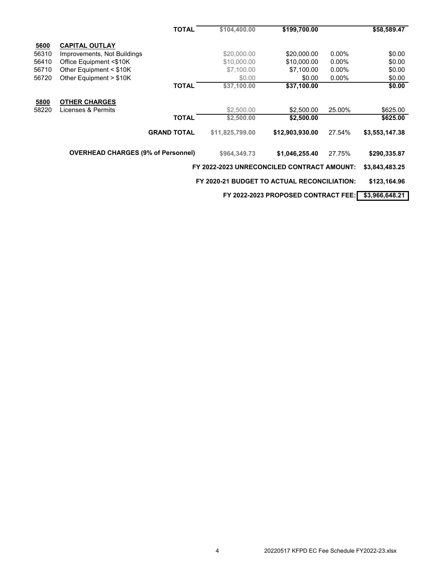|       |                                           | TOTAL              | \$104,400.00                                | \$199,700.00                        |          | \$58,589.47    |
|-------|-------------------------------------------|--------------------|---------------------------------------------|-------------------------------------|----------|----------------|
| 5600  | <b>CAPITAL OUTLAY</b>                     |                    |                                             |                                     |          |                |
| 56310 | Improvements, Not Buildings               |                    | \$20,000.00                                 | \$20,000.00                         | $0.00\%$ | \$0.00         |
| 56410 | Office Equipment <\$10K                   |                    | \$10,000.00                                 | \$10,000.00                         | $0.00\%$ | \$0.00         |
| 56710 | Other Equipment $<$ \$10K                 |                    | \$7,100.00                                  | \$7,100.00                          | $0.00\%$ | \$0.00         |
| 56720 | Other Equipment > \$10K                   |                    | \$0.00                                      | \$0.00                              | $0.00\%$ | \$0.00         |
|       |                                           | <b>TOTAL</b>       | \$37,100.00                                 | \$37,100.00                         |          | \$0.00         |
|       |                                           |                    |                                             |                                     |          |                |
| 5800  | <b>OTHER CHARGES</b>                      |                    |                                             |                                     |          |                |
| 58220 | Licenses & Permits                        |                    | \$2,500.00                                  | \$2,500.00                          | 25.00%   | \$625.00       |
|       |                                           | <b>TOTAL</b>       | \$2,500.00                                  | \$2,500.00                          |          | \$625.00       |
|       |                                           | <b>GRAND TOTAL</b> | \$11,825,799.00                             | \$12,903,930.00                     | 27.54%   | \$3,553,147.38 |
|       | <b>OVERHEAD CHARGES (9% of Personnel)</b> |                    | \$964,349.73                                | \$1,046,255.40                      | 27.75%   | \$290,335.87   |
|       |                                           |                    | FY 2022-2023 UNRECONCILED CONTRACT AMOUNT:  |                                     |          | \$3,843,483.25 |
|       |                                           |                    | FY 2020-21 BUDGET TO ACTUAL RECONCILIATION: |                                     |          | \$123,164.96   |
|       |                                           |                    |                                             | FY 2022-2023 PROPOSED CONTRACT FEE: |          | \$3,966,648.21 |
|       |                                           |                    |                                             |                                     |          |                |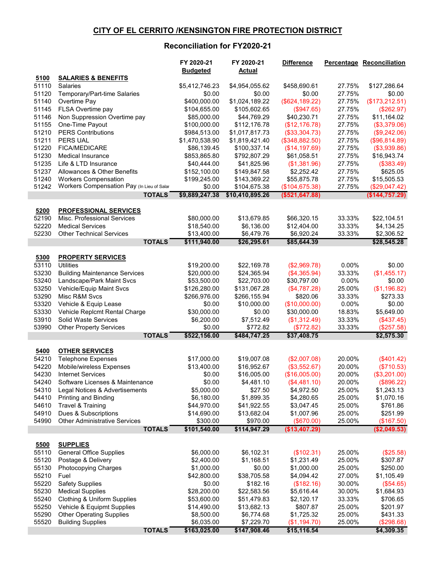### **CITY OF EL CERRITO /KENSINGTON FIRE PROTECTION DISTRICT**

## **Reconciliation for FY2020-21**

|                |                                                        | FY 2020-21<br><b>Budgeted</b> | FY 2020-21<br><b>Actual</b> | <b>Difference</b>          |                  | <b>Percentage Reconciliation</b> |
|----------------|--------------------------------------------------------|-------------------------------|-----------------------------|----------------------------|------------------|----------------------------------|
| 5100           | <b>SALARIES &amp; BENEFITS</b>                         |                               |                             |                            |                  |                                  |
| 51110          | <b>Salaries</b>                                        | \$5,412,746.23                | \$4,954,055.62              | \$458,690.61               | 27.75%           | \$127,286.64                     |
| 51120          | Temporary/Part-time Salaries                           | \$0.00                        | \$0.00                      | \$0.00                     | 27.75%           | \$0.00                           |
| 51140          | Overtime Pay                                           | \$400,000.00                  | \$1,024,189.22              | (\$624, 189.22)            | 27.75%           | (\$173,212.51)                   |
| 51145          | FLSA Overtime pay                                      | \$104,655.00                  | \$105,602.65                | (\$947.65)                 | 27.75%           | (\$262.97)                       |
| 51146          | Non Suppression Overtime pay                           | \$85,000.00                   | \$44,769.29                 | \$40,230.71                | 27.75%           | \$11,164.02                      |
| 51155          | One-Time Payout                                        | \$100,000.00                  | \$112,176.78                | (\$12,176.78)              | 27.75%           | (\$3,379.06)                     |
| 51210          | <b>PERS Contributions</b>                              | \$984,513.00                  | \$1,017,817.73              | (\$33,304.73)              | 27.75%           | (\$9,242.06)                     |
| 51211          | <b>PERS UAL</b>                                        | \$1,470,538.90                | \$1,819,421.40              | (\$348,882.50)             | 27.75%           | (\$96,814.89)                    |
| 51220          | <b>FICA/MEDICARE</b>                                   | \$86,139.45                   | \$100,337.14                | (\$14,197.69)              | 27.75%           | (\$3,939.86)                     |
| 51230          | <b>Medical Insurance</b>                               | \$853,865.80                  | \$792,807.29                | \$61,058.51                | 27.75%           | \$16,943.74                      |
| 51235          | Life & LTD Insurance                                   | \$40,444.00                   | \$41,825.96                 | (\$1,381.96)               | 27.75%           | (\$383.49)                       |
| 51237          | Allowances & Other Benefits                            | \$152,100.00                  | \$149,847.58                | \$2,252.42                 | 27.75%           | \$625.05                         |
| 51240          | <b>Workers Compensation</b>                            | \$199,245.00                  | \$143,369.22                | \$55,875.78                | 27.75%           | \$15,505.53                      |
| 51242          | Workers Compensation Pay (In Lieu of Salar             | \$0.00                        | \$104,675.38                | (\$104, 675.38)            | 27.75%           | (\$29,047.42)                    |
|                | <b>TOTALS</b>                                          | \$9,889,247.38                | \$10,410,895.26             | (\$521, 647.88)            |                  | (\$144,757.29)                   |
| 5200           | <b>PROFESSIONAL SERVICES</b>                           |                               |                             |                            |                  |                                  |
| 52190          | Misc. Professional Services                            | \$80,000.00                   | \$13,679.85                 | \$66,320.15                | 33.33%           | \$22,104.51                      |
| 52220          | <b>Medical Services</b>                                | \$18,540.00                   | \$6,136.00                  | \$12,404.00                | 33.33%           | \$4,134.25                       |
| 52230          | <b>Other Technical Services</b>                        | \$13,400.00                   | \$6,479.76                  | \$6,920.24                 | 33.33%           | \$2,306.52                       |
|                | <b>TOTALS</b>                                          | \$111,940.00                  | \$26,295.61                 | \$85,644.39                |                  | \$28,545.28                      |
|                |                                                        |                               |                             |                            |                  |                                  |
| 5300           | <b>PROPERTY SERVICES</b>                               |                               |                             |                            |                  |                                  |
| 53110          | <b>Utilities</b>                                       | \$19,200.00                   | \$22,169.78                 | (\$2,969.78)               | 0.00%            | \$0.00                           |
| 53230          | <b>Building Maintenance Services</b>                   | \$20,000.00                   | \$24,365.94                 | (\$4,365.94)               | 33.33%           | (\$1,455.17)                     |
| 53240          | Landscape/Park Maint Svcs                              | \$53,500.00                   | \$22,703.00                 | \$30,797.00                | 0.00%            | \$0.00                           |
| 53250          | Vehicle/Equip Maint Svcs                               | \$126,280.00                  | \$131,067.28                | (\$4,787.28)               | 25.00%           | (\$1,196.82)                     |
| 53290          | Misc R&M Svcs                                          | \$266,976.00                  | \$266,155.94                | \$820.06                   | 33.33%           | \$273.33                         |
| 53320          | Vehicle & Equip Lease                                  | \$0.00                        | \$10,000.00                 | (\$10,000.00)              | $0.00\%$         | \$0.00                           |
| 53330          | Vehicle Replcmt Rental Charge                          | \$30,000.00                   | \$0.00                      | \$30,000.00                | 18.83%           | \$5,649.00                       |
| 53910<br>53990 | Solid Waste Services<br><b>Other Property Services</b> | \$6,200.00<br>\$0.00          | \$7,512.49<br>\$772.82      | (\$1,312.49)<br>(\$772.82) | 33.33%<br>33.33% | (\$437.45)<br>(\$257.58)         |
|                | <b>TOTALS</b>                                          | \$522,156.00                  | \$484,747.25                | \$37,408.75                |                  | \$2,575.30                       |
|                |                                                        |                               |                             |                            |                  |                                  |
| 5400           | <b>OTHER SERVICES</b>                                  |                               |                             |                            |                  |                                  |
| 54210          | <b>Telephone Expenses</b>                              | \$17,000.00                   | \$19,007.08                 | (\$2,007.08)               | 20.00%           | (\$401.42)                       |
| 54220          | Mobile/wireless Expenses                               | \$13,400.00                   | \$16,952.67                 | (\$3,552.67)               | 20.00%           | (\$710.53)                       |
| 54230          | <b>Internet Services</b>                               | \$0.00                        | \$16,005.00                 | (\$16,005.00)              | 20.00%           | (\$3,201.00)                     |
| 54240          | Software Licenses & Maintenance                        | \$0.00                        | \$4,481.10                  | (\$4,481.10)               | 20.00%           | (\$896.22)                       |
| 54310          | Legal Notices & Advertisements                         | \$5,000.00                    | \$27.50                     | \$4,972.50                 | 25.00%           | \$1,243.13                       |
| 54410          | Printing and Binding                                   | \$6,180.00                    | \$1,899.35                  | \$4,280.65                 | 25.00%           | \$1,070.16                       |
| 54610          | Travel & Training                                      | \$44,970.00                   | \$41,922.55                 | \$3,047.45                 | 25.00%           | \$761.86                         |
| 54910          | Dues & Subscriptions                                   | \$14,690.00                   | \$13,682.04                 | \$1,007.96                 | 25.00%           | \$251.99                         |
| 54990          | <b>Other Administrative Services</b>                   | \$300.00                      | \$970.00                    | (\$670.00)                 | 25.00%           | (\$167.50)                       |
|                | <b>TOTALS</b>                                          | \$101,540.00                  | \$114,947.29                | (\$13,407.29)              |                  | (\$2,049.53)                     |
| 5500           | <b>SUPPLIES</b>                                        |                               |                             |                            |                  |                                  |
| 55110          | <b>General Office Supplies</b>                         | \$6,000.00                    | \$6,102.31                  | (\$102.31)                 | 25.00%           | (\$25.58)                        |
| 55120          | Postage & Delivery                                     | \$2,400.00                    | \$1,168.51                  | \$1,231.49                 | 25.00%           | \$307.87                         |
| 55130          | Photocopying Charges                                   | \$1,000.00                    | \$0.00                      | \$1,000.00                 | 25.00%           | \$250.00                         |
| 55210          | Fuel                                                   | \$42,800.00                   | \$38,705.58                 | \$4,094.42                 | 27.00%           | \$1,105.49                       |
| 55220          | <b>Safety Supplies</b>                                 | \$0.00                        | \$182.16                    | (\$182.16)                 | 30.00%           | (\$54.65)                        |
| 55230          | <b>Medical Supplies</b>                                | \$28,200.00                   | \$22,583.56                 | \$5,616.44                 | 30.00%           | \$1,684.93                       |
| 55240          | <b>Clothing &amp; Uniform Supplies</b>                 | \$53,600.00                   | \$51,479.83                 | \$2,120.17                 | 33.33%           | \$706.65                         |
| 55250          | Vehicle & Equipmt Supplies                             | \$14,490.00                   | \$13,682.13                 | \$807.87                   | 25.00%           | \$201.97                         |
| 55290          | <b>Other Operating Supplies</b>                        | \$8,500.00                    | \$6,774.68                  | \$1,725.32                 | 25.00%           | \$431.33                         |
| 55520          | <b>Building Supplies</b>                               | \$6,035.00                    | \$7,229.70                  | (\$1,194.70)               | 25.00%           | (\$298.68)                       |
|                | <b>TOTALS</b>                                          | \$163,025.00                  | \$147,908.46                | \$15,116.54                |                  | \$4,309.35                       |